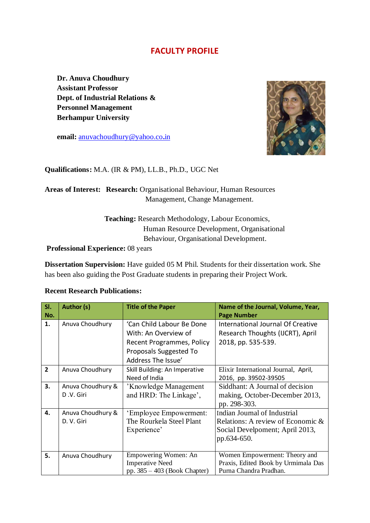## **FACULTY PROFILE**

**Dr. Anuva Choudhury Assistant Professor Dept. of Industrial Relations & Personnel Management Berhampur University**

**email:** [anuvachoudhury@yahoo.co](mailto:anuvachoudhury@yahoo.co.in)**.**in



**Qualifications:** M.A. (IR & PM), LL.B., Ph.D., UGC Net

## **Areas of Interest: Research:** Organisational Behaviour, Human Resources Management, Change Management.

 **Teaching:** Research Methodology, Labour Economics, Human Resource Development, Organisational Behaviour, Organisational Development.

**Professional Experience:** 08 years

**Dissertation Supervision:** Have guided 05 M Phil. Students for their dissertation work. She has been also guiding the Post Graduate students in preparing their Project Work.

## **Recent Research Publications:**

| SI.            | Author (s)        | <b>Title of the Paper</b>      | Name of the Journal, Volume, Year,   |  |
|----------------|-------------------|--------------------------------|--------------------------------------|--|
| No.            |                   |                                | <b>Page Number</b>                   |  |
| 1.             | Anuva Choudhury   | 'Can Child Labour Be Done      | International Journal Of Creative    |  |
|                |                   | With: An Overview of           | Research Thoughts (IJCRT), April     |  |
|                |                   | Recent Programmes, Policy      | 2018, pp. 535-539.                   |  |
|                |                   | Proposals Suggested To         |                                      |  |
|                |                   | Address The Issue'             |                                      |  |
| $\overline{2}$ | Anuva Choudhury   | Skill Building: An Imperative  | Elixir International Journal, April, |  |
|                |                   | Need of India                  | 2016, pp. 39502-39505                |  |
| 3.             | Anuva Choudhury & | 'Knowledge Management          | Siddhant: A Journal of decision      |  |
|                | D.V. Giri         | and HRD: The Linkage',         | making, October-December 2013,       |  |
|                |                   |                                | pp. 298-303.                         |  |
| 4.             | Anuva Choudhury & | 'Employee Empowerment:         | Indian Journal of Industrial         |  |
|                | D. V. Giri        | The Rourkela Steel Plant       | Relations: A review of Economic &    |  |
|                |                   | Experience'                    | Social Develpoment; April 2013,      |  |
|                |                   |                                | pp.634-650.                          |  |
|                |                   |                                |                                      |  |
| 5.             | Anuva Choudhury   | Empowering Women: An           | Women Empowerment: Theory and        |  |
|                |                   | <b>Imperative Need</b>         | Praxis, Edited Book by Urmimala Das  |  |
|                |                   | pp. $385 - 403$ (Book Chapter) | Purna Chandra Pradhan.               |  |